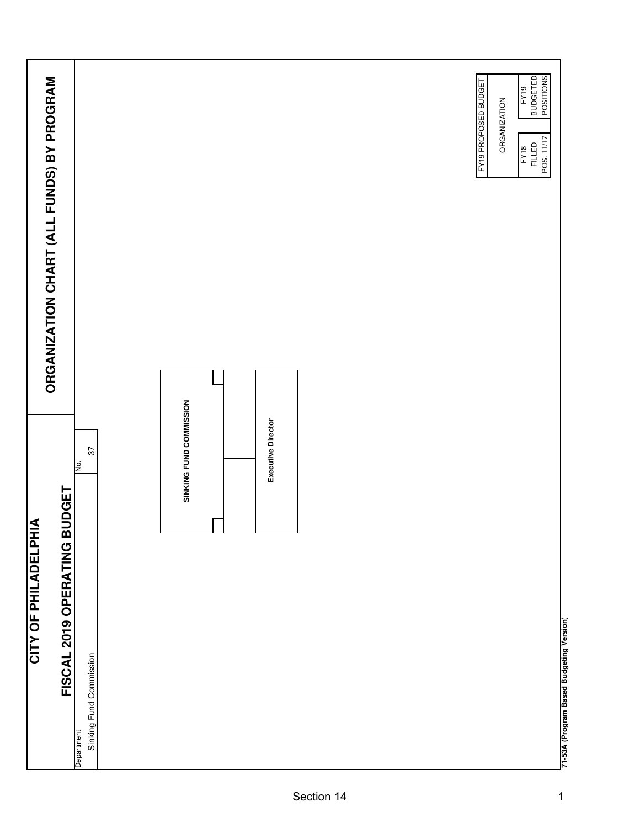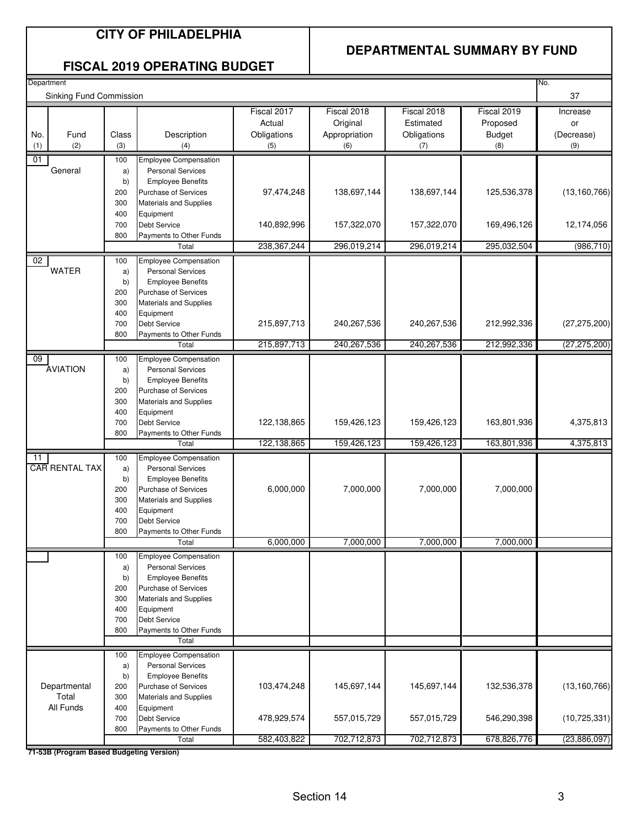#### **DEPARTMENTAL SUMMARY BY FUND**

#### **FISCAL 2019 OPERATING BUDGET**

| Department<br>No. |                                          |           |                                                          |               |               |             |               |                |
|-------------------|------------------------------------------|-----------|----------------------------------------------------------|---------------|---------------|-------------|---------------|----------------|
|                   | Sinking Fund Commission                  |           |                                                          |               |               |             |               | 37             |
|                   |                                          |           |                                                          | Fiscal 2017   | Fiscal 2018   | Fiscal 2018 | Fiscal 2019   | Increase       |
|                   |                                          |           |                                                          | Actual        | Original      | Estimated   | Proposed      | or             |
| No.               | Fund                                     | Class     | Description                                              | Obligations   | Appropriation | Obligations | <b>Budget</b> | (Decrease)     |
| (1)               | (2)                                      | (3)       | (4)                                                      | (5)           | (6)           | (7)         | (8)           | (9)            |
| 01                |                                          | 100       | <b>Employee Compensation</b>                             |               |               |             |               |                |
|                   | General                                  | a)        | <b>Personal Services</b>                                 |               |               |             |               |                |
|                   |                                          | b)        | <b>Employee Benefits</b>                                 |               |               |             |               |                |
|                   |                                          | 200       | <b>Purchase of Services</b>                              | 97,474,248    | 138,697,144   | 138,697,144 | 125,536,378   | (13, 160, 766) |
|                   |                                          | 300       | <b>Materials and Supplies</b>                            |               |               |             |               |                |
|                   |                                          | 400       | Equipment                                                |               |               |             |               |                |
|                   |                                          | 700       | <b>Debt Service</b>                                      | 140,892,996   | 157,322,070   | 157,322,070 | 169,496,126   | 12,174,056     |
|                   |                                          | 800       | Payments to Other Funds                                  |               |               |             |               |                |
|                   |                                          |           | Total                                                    | 238, 367, 244 | 296,019,214   | 296,019,214 | 295,032,504   | (986, 710)     |
| $rac{1}{2}$       |                                          | 100       | <b>Employee Compensation</b>                             |               |               |             |               |                |
|                   | <b>WATER</b>                             | a)        | <b>Personal Services</b>                                 |               |               |             |               |                |
|                   |                                          | b)        | <b>Employee Benefits</b>                                 |               |               |             |               |                |
|                   |                                          | 200       | <b>Purchase of Services</b>                              |               |               |             |               |                |
|                   |                                          | 300       | <b>Materials and Supplies</b>                            |               |               |             |               |                |
|                   |                                          | 400       | Equipment                                                |               |               |             |               |                |
|                   |                                          | 700       | <b>Debt Service</b>                                      | 215,897,713   | 240,267,536   | 240,267,536 | 212,992,336   | (27, 275, 200) |
|                   |                                          | 800       | Payments to Other Funds<br>Total                         | 215,897,713   | 240, 267, 536 | 240,267,536 | 212,992,336   | (27, 275, 200) |
|                   |                                          |           |                                                          |               |               |             |               |                |
| 09                | <b>AVIATION</b>                          | 100       | <b>Employee Compensation</b><br><b>Personal Services</b> |               |               |             |               |                |
|                   |                                          | a)<br>b)  | <b>Employee Benefits</b>                                 |               |               |             |               |                |
|                   |                                          | 200       | <b>Purchase of Services</b>                              |               |               |             |               |                |
|                   |                                          | 300       | <b>Materials and Supplies</b>                            |               |               |             |               |                |
|                   |                                          | 400       | Equipment                                                |               |               |             |               |                |
|                   |                                          | 700       | <b>Debt Service</b>                                      | 122,138,865   | 159,426,123   | 159,426,123 | 163,801,936   | 4,375,813      |
|                   |                                          | 800       | Payments to Other Funds                                  |               |               |             |               |                |
|                   |                                          |           | Total                                                    | 122,138,865   | 159,426,123   | 159,426,123 | 163,801,936   | 4,375,813      |
| 11                |                                          | 100       | Employee Compensation                                    |               |               |             |               |                |
|                   | <b>CAR RENTAL TAX</b>                    | a)        | <b>Personal Services</b>                                 |               |               |             |               |                |
|                   |                                          | b)        | <b>Employee Benefits</b>                                 |               |               |             |               |                |
|                   |                                          | 200       | <b>Purchase of Services</b>                              | 6,000,000     | 7,000,000     | 7,000,000   | 7,000,000     |                |
|                   |                                          | 300       | <b>Materials and Supplies</b>                            |               |               |             |               |                |
|                   |                                          | 400       | Equipment                                                |               |               |             |               |                |
|                   |                                          | 700       | <b>Debt Service</b>                                      |               |               |             |               |                |
|                   |                                          | 800       | Payments to Other Funds                                  |               |               |             |               |                |
|                   |                                          |           | Total                                                    | 6,000,000     | 7,000,000     | 7,000,000   | 7,000,000     |                |
|                   |                                          | 100       | <b>Employee Compensation</b>                             |               |               |             |               |                |
|                   |                                          | a)        | <b>Personal Services</b>                                 |               |               |             |               |                |
|                   |                                          | b)<br>200 | <b>Employee Benefits</b><br><b>Purchase of Services</b>  |               |               |             |               |                |
|                   |                                          | 300       | <b>Materials and Supplies</b>                            |               |               |             |               |                |
|                   |                                          | 400       | Equipment                                                |               |               |             |               |                |
|                   |                                          | 700       | <b>Debt Service</b>                                      |               |               |             |               |                |
|                   |                                          | 800       | Payments to Other Funds                                  |               |               |             |               |                |
|                   |                                          |           | Total                                                    |               |               |             |               |                |
|                   |                                          | 100       | <b>Employee Compensation</b>                             |               |               |             |               |                |
|                   |                                          | a)        | <b>Personal Services</b>                                 |               |               |             |               |                |
|                   |                                          | b)        | <b>Employee Benefits</b>                                 |               |               |             |               |                |
|                   | Departmental                             | 200       | <b>Purchase of Services</b>                              | 103,474,248   | 145,697,144   | 145,697,144 | 132,536,378   | (13, 160, 766) |
|                   | Total                                    | 300       | <b>Materials and Supplies</b>                            |               |               |             |               |                |
|                   | All Funds                                | 400       | Equipment                                                |               |               |             |               |                |
|                   |                                          | 700       | <b>Debt Service</b>                                      | 478,929,574   | 557,015,729   | 557,015,729 | 546,290,398   | (10, 725, 331) |
|                   |                                          | 800       | Payments to Other Funds                                  |               |               |             |               |                |
|                   |                                          |           | Total                                                    | 582,403,822   | 702,712,873   | 702,712,873 | 678,826,776   | (23,886,097)   |
|                   | 71-53B (Program Based Budgeting Version) |           |                                                          |               |               |             |               |                |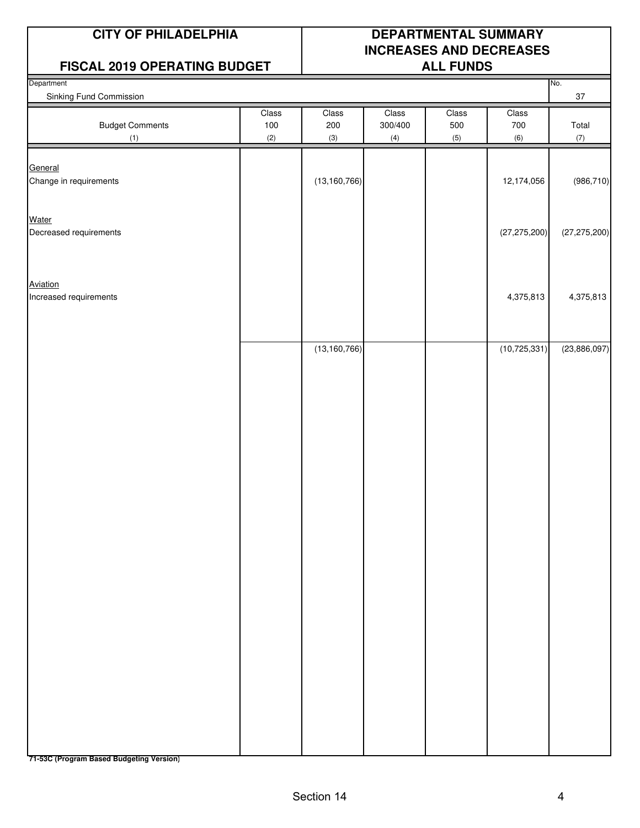#### **FISCAL 2019 OPERATING BUDGET | ALL FUNDS**

### **CITY OF PHILADELPHIA DEPARTMENTAL SUMMARY INCREASES AND DECREASES**

| Department<br>Sinking Fund Commission |              |                |                  |              |                | No.<br>$37\,$  |
|---------------------------------------|--------------|----------------|------------------|--------------|----------------|----------------|
| <b>Budget Comments</b>                | Class<br>100 | Class<br>200   | Class<br>300/400 | Class<br>500 | Class<br>700   | Total          |
| (1)                                   | (2)          | (3)            | (4)              | (5)          | (6)            | (7)            |
| General<br>Change in requirements     |              | (13, 160, 766) |                  |              | 12,174,056     | (986, 710)     |
| Water                                 |              |                |                  |              |                |                |
| Decreased requirements                |              |                |                  |              | (27, 275, 200) | (27, 275, 200) |
| Aviation                              |              |                |                  |              |                |                |
| Increased requirements                |              |                |                  |              | 4,375,813      | 4,375,813      |
|                                       |              |                |                  |              |                |                |
|                                       |              | (13, 160, 766) |                  |              | (10, 725, 331) | (23,886,097)   |
|                                       |              |                |                  |              |                |                |
|                                       |              |                |                  |              |                |                |
|                                       |              |                |                  |              |                |                |
|                                       |              |                |                  |              |                |                |
|                                       |              |                |                  |              |                |                |
|                                       |              |                |                  |              |                |                |
|                                       |              |                |                  |              |                |                |
|                                       |              |                |                  |              |                |                |
|                                       |              |                |                  |              |                |                |
|                                       |              |                |                  |              |                |                |
|                                       |              |                |                  |              |                |                |
|                                       |              |                |                  |              |                |                |
|                                       |              |                |                  |              |                |                |
|                                       |              |                |                  |              |                |                |
|                                       |              |                |                  |              |                |                |
|                                       |              |                |                  |              |                |                |
|                                       |              |                |                  |              |                |                |
|                                       |              |                |                  |              |                |                |
|                                       |              |                |                  |              |                |                |
|                                       |              |                |                  |              |                |                |
|                                       |              |                |                  |              |                |                |
|                                       |              |                |                  |              |                |                |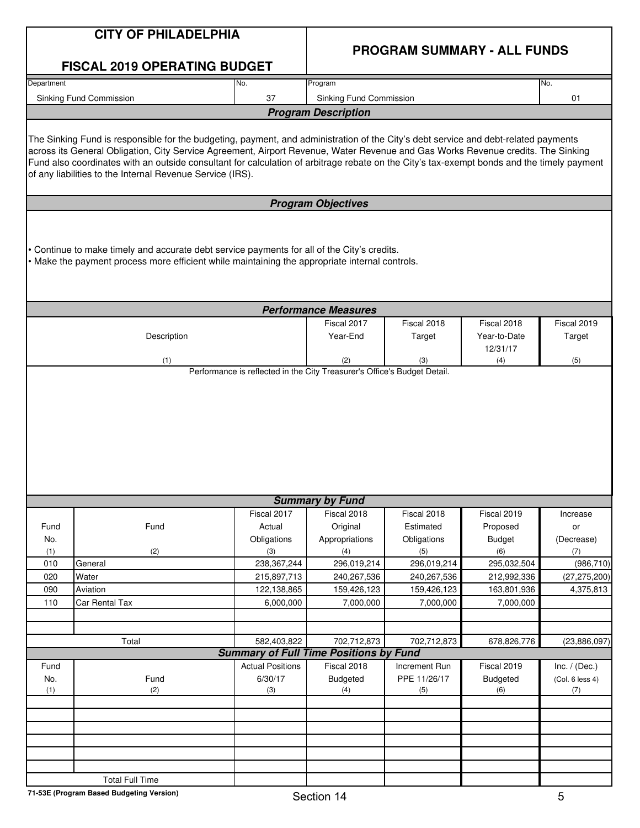|            | <b>CITY OF PHILADELPHIA</b>                                                                                                                                                                                                                                                                                                                                                                                                                                                        |                                                                          |                             |                    |                                    |                   |  |
|------------|------------------------------------------------------------------------------------------------------------------------------------------------------------------------------------------------------------------------------------------------------------------------------------------------------------------------------------------------------------------------------------------------------------------------------------------------------------------------------------|--------------------------------------------------------------------------|-----------------------------|--------------------|------------------------------------|-------------------|--|
|            | <b>FISCAL 2019 OPERATING BUDGET</b>                                                                                                                                                                                                                                                                                                                                                                                                                                                |                                                                          |                             |                    | <b>PROGRAM SUMMARY - ALL FUNDS</b> |                   |  |
| Department |                                                                                                                                                                                                                                                                                                                                                                                                                                                                                    | No.                                                                      | Program                     |                    |                                    | No.               |  |
|            | Sinking Fund Commission                                                                                                                                                                                                                                                                                                                                                                                                                                                            | 37                                                                       | Sinking Fund Commission     |                    |                                    | 01                |  |
|            |                                                                                                                                                                                                                                                                                                                                                                                                                                                                                    |                                                                          | <b>Program Description</b>  |                    |                                    |                   |  |
|            |                                                                                                                                                                                                                                                                                                                                                                                                                                                                                    |                                                                          |                             |                    |                                    |                   |  |
|            | The Sinking Fund is responsible for the budgeting, payment, and administration of the City's debt service and debt-related payments<br>across its General Obligation, City Service Agreement, Airport Revenue, Water Revenue and Gas Works Revenue credits. The Sinking<br>Fund also coordinates with an outside consultant for calculation of arbitrage rebate on the City's tax-exempt bonds and the timely payment<br>of any liabilities to the Internal Revenue Service (IRS). |                                                                          |                             |                    |                                    |                   |  |
|            |                                                                                                                                                                                                                                                                                                                                                                                                                                                                                    |                                                                          | <b>Program Objectives</b>   |                    |                                    |                   |  |
|            | Continue to make timely and accurate debt service payments for all of the City's credits.<br>. Make the payment process more efficient while maintaining the appropriate internal controls.                                                                                                                                                                                                                                                                                        |                                                                          |                             |                    |                                    |                   |  |
|            |                                                                                                                                                                                                                                                                                                                                                                                                                                                                                    |                                                                          | <b>Performance Measures</b> |                    |                                    |                   |  |
|            |                                                                                                                                                                                                                                                                                                                                                                                                                                                                                    |                                                                          | Fiscal 2017                 | Fiscal 2018        | Fiscal 2018                        | Fiscal 2019       |  |
|            | Description                                                                                                                                                                                                                                                                                                                                                                                                                                                                        |                                                                          | Year-End                    | Target             | Year-to-Date                       | Target            |  |
|            | (1)                                                                                                                                                                                                                                                                                                                                                                                                                                                                                |                                                                          | (2)                         | (3)                | 12/31/17<br>(4)                    | (5)               |  |
|            |                                                                                                                                                                                                                                                                                                                                                                                                                                                                                    | Performance is reflected in the City Treasurer's Office's Budget Detail. |                             |                    |                                    |                   |  |
|            |                                                                                                                                                                                                                                                                                                                                                                                                                                                                                    |                                                                          |                             |                    |                                    |                   |  |
|            |                                                                                                                                                                                                                                                                                                                                                                                                                                                                                    |                                                                          | <b>Summary by Fund</b>      |                    |                                    |                   |  |
|            |                                                                                                                                                                                                                                                                                                                                                                                                                                                                                    | Fiscal 2017                                                              | Fiscal 2018                 | Fiscal 2018        | Fiscal 2019                        | Increase          |  |
| Fund       | Fund                                                                                                                                                                                                                                                                                                                                                                                                                                                                               | Actual                                                                   | Original                    | Estimated          | Proposed                           | or                |  |
| No.        |                                                                                                                                                                                                                                                                                                                                                                                                                                                                                    | Obligations                                                              | Appropriations              | Obligations        | <b>Budget</b>                      | (Decrease)        |  |
| (1)<br>010 | (2)<br>General                                                                                                                                                                                                                                                                                                                                                                                                                                                                     | (3)<br>238, 367, 244                                                     | (4)<br>296,019,214          | (5)<br>296,019,214 | (6)<br>295,032,504                 | (7)<br>(986, 710) |  |
| 020        | Water                                                                                                                                                                                                                                                                                                                                                                                                                                                                              | 215,897,713                                                              | 240,267,536                 | 240,267,536        | 212,992,336                        | (27, 275, 200)    |  |
| 090        | Aviation                                                                                                                                                                                                                                                                                                                                                                                                                                                                           | 122,138,865                                                              | 159,426,123                 | 159,426,123        | 163,801,936                        | 4,375,813         |  |
| 110        | Car Rental Tax                                                                                                                                                                                                                                                                                                                                                                                                                                                                     | 6,000,000                                                                | 7,000,000                   | 7,000,000          | 7,000,000                          |                   |  |
|            |                                                                                                                                                                                                                                                                                                                                                                                                                                                                                    |                                                                          |                             |                    |                                    |                   |  |
|            |                                                                                                                                                                                                                                                                                                                                                                                                                                                                                    |                                                                          |                             |                    |                                    |                   |  |
|            | Total                                                                                                                                                                                                                                                                                                                                                                                                                                                                              | 582,403,822<br><b>Summary of Full Time Positions by Fund</b>             | 702,712,873                 | 702,712,873        | 678,826,776                        | (23,886,097)      |  |
| Fund       |                                                                                                                                                                                                                                                                                                                                                                                                                                                                                    | <b>Actual Positions</b>                                                  | Fiscal 2018                 | Increment Run      | Fiscal 2019                        | Inc. $/$ (Dec.)   |  |
| No.        | Fund                                                                                                                                                                                                                                                                                                                                                                                                                                                                               | 6/30/17                                                                  | <b>Budgeted</b>             | PPE 11/26/17       | <b>Budgeted</b>                    | (Col. 6 less 4)   |  |
| (1)        | (2)                                                                                                                                                                                                                                                                                                                                                                                                                                                                                | (3)                                                                      | (4)                         | (5)                | (6)                                | (7)               |  |
|            |                                                                                                                                                                                                                                                                                                                                                                                                                                                                                    |                                                                          |                             |                    |                                    |                   |  |
|            |                                                                                                                                                                                                                                                                                                                                                                                                                                                                                    |                                                                          |                             |                    |                                    |                   |  |
|            |                                                                                                                                                                                                                                                                                                                                                                                                                                                                                    |                                                                          |                             |                    |                                    |                   |  |
|            |                                                                                                                                                                                                                                                                                                                                                                                                                                                                                    |                                                                          |                             |                    |                                    |                   |  |
|            |                                                                                                                                                                                                                                                                                                                                                                                                                                                                                    |                                                                          |                             |                    |                                    |                   |  |
|            | <b>Total Full Time</b>                                                                                                                                                                                                                                                                                                                                                                                                                                                             |                                                                          |                             |                    |                                    |                   |  |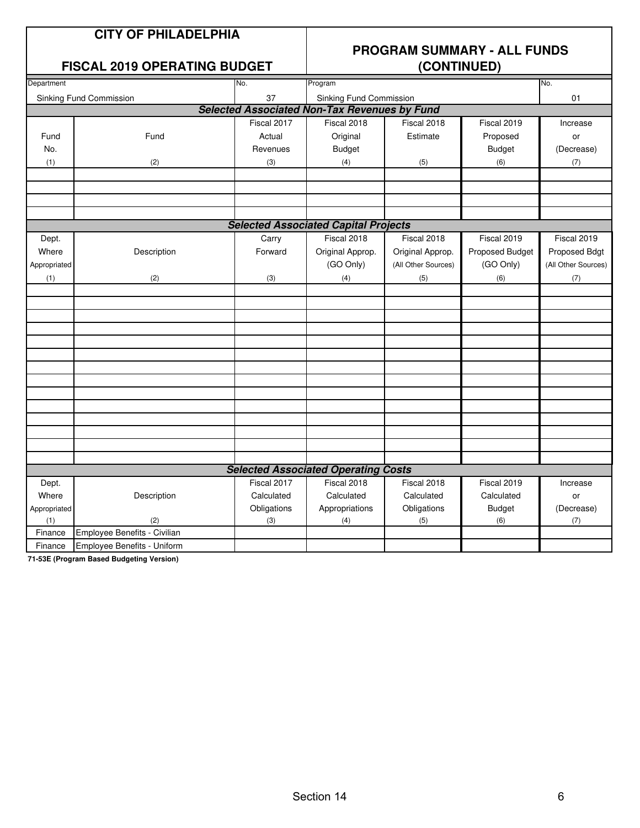#### **FISCAL 2019 OPERATING BUDGET**

## **PROGRAM SUMMARY - ALL FUNDS**

| Department   |                              | No.         | Program                                             |                     | No.             |                     |
|--------------|------------------------------|-------------|-----------------------------------------------------|---------------------|-----------------|---------------------|
|              | Sinking Fund Commission      | 37          | Sinking Fund Commission                             |                     |                 | 01                  |
|              |                              |             | <b>Selected Associated Non-Tax Revenues by Fund</b> |                     |                 |                     |
|              |                              | Fiscal 2017 | Fiscal 2018                                         | Fiscal 2018         | Fiscal 2019     | Increase            |
| Fund         | Fund                         | Actual      | Original                                            | Estimate            | Proposed        | or                  |
| No.          |                              | Revenues    | <b>Budget</b>                                       |                     | <b>Budget</b>   | (Decrease)          |
| (1)          | (2)                          | (3)         | (4)                                                 | (5)                 | (6)             | (7)                 |
|              |                              |             |                                                     |                     |                 |                     |
|              |                              |             |                                                     |                     |                 |                     |
|              |                              |             |                                                     |                     |                 |                     |
|              |                              |             |                                                     |                     |                 |                     |
|              |                              |             | <b>Selected Associated Capital Projects</b>         |                     |                 |                     |
| Dept.        |                              | Carry       | Fiscal 2018                                         | Fiscal 2018         | Fiscal 2019     | Fiscal 2019         |
| Where        | Description                  | Forward     | Original Approp.                                    | Original Approp.    | Proposed Budget | Proposed Bdgt       |
| Appropriated |                              |             | (GO Only)                                           | (All Other Sources) | (GO Only)       | (All Other Sources) |
| (1)          | (2)                          | (3)         | (4)                                                 | (5)                 | (6)             | (7)                 |
|              |                              |             |                                                     |                     |                 |                     |
|              |                              |             |                                                     |                     |                 |                     |
|              |                              |             |                                                     |                     |                 |                     |
|              |                              |             |                                                     |                     |                 |                     |
|              |                              |             |                                                     |                     |                 |                     |
|              |                              |             |                                                     |                     |                 |                     |
|              |                              |             |                                                     |                     |                 |                     |
|              |                              |             |                                                     |                     |                 |                     |
|              |                              |             |                                                     |                     |                 |                     |
|              |                              |             |                                                     |                     |                 |                     |
|              |                              |             |                                                     |                     |                 |                     |
|              |                              |             |                                                     |                     |                 |                     |
|              |                              |             |                                                     |                     |                 |                     |
|              |                              |             | <b>Selected Associated Operating Costs</b>          |                     |                 |                     |
| Dept.        |                              | Fiscal 2017 | Fiscal 2018                                         | Fiscal 2018         | Fiscal 2019     | Increase            |
| Where        | Description                  | Calculated  | Calculated                                          | Calculated          | Calculated      | or                  |
| Appropriated |                              | Obligations | Appropriations                                      | Obligations         | <b>Budget</b>   | (Decrease)          |
| (1)          | (2)                          | (3)         | (4)                                                 | (5)                 | (6)             | (7)                 |
| Finance      | Employee Benefits - Civilian |             |                                                     |                     |                 |                     |
| Finance      | Employee Benefits - Uniform  |             |                                                     |                     |                 |                     |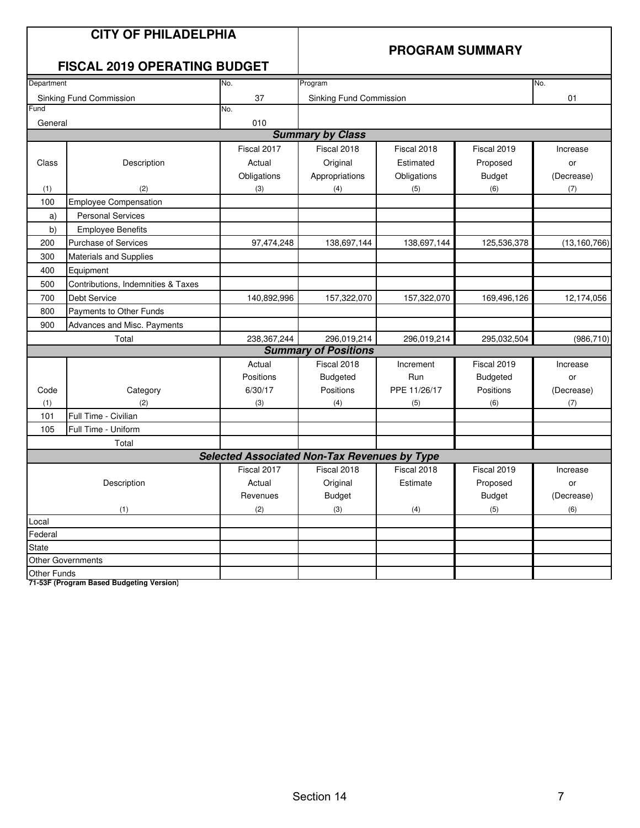|             | <b>CITY OF PHILADELPHIA</b><br><b>FISCAL 2019 OPERATING BUDGET</b> |                                                     | <b>PROGRAM SUMMARY</b>      |              |                 |                |  |
|-------------|--------------------------------------------------------------------|-----------------------------------------------------|-----------------------------|--------------|-----------------|----------------|--|
| Department  |                                                                    | No.                                                 | Program                     |              |                 | No.            |  |
|             | Sinking Fund Commission                                            | 37                                                  | Sinking Fund Commission     |              |                 | 01             |  |
| Fund        |                                                                    | No.                                                 |                             |              |                 |                |  |
| General     |                                                                    | 010                                                 |                             |              |                 |                |  |
|             |                                                                    |                                                     | <b>Summary by Class</b>     |              |                 |                |  |
|             |                                                                    | Fiscal 2017                                         | Fiscal 2018                 | Fiscal 2018  | Fiscal 2019     | Increase       |  |
| Class       | Description                                                        | Actual                                              | Original                    | Estimated    | Proposed        | or             |  |
|             |                                                                    | Obligations                                         | Appropriations              | Obligations  | <b>Budget</b>   | (Decrease)     |  |
| (1)         | (2)                                                                | (3)                                                 | (4)                         | (5)          | (6)             | (7)            |  |
| 100         | <b>Employee Compensation</b>                                       |                                                     |                             |              |                 |                |  |
| a)          | <b>Personal Services</b>                                           |                                                     |                             |              |                 |                |  |
| b)          | <b>Employee Benefits</b>                                           |                                                     |                             |              |                 |                |  |
| 200         | <b>Purchase of Services</b>                                        | 97,474,248                                          | 138,697,144                 | 138,697,144  | 125,536,378     | (13, 160, 766) |  |
| 300         | <b>Materials and Supplies</b>                                      |                                                     |                             |              |                 |                |  |
| 400         | Equipment                                                          |                                                     |                             |              |                 |                |  |
| 500         | Contributions, Indemnities & Taxes                                 |                                                     |                             |              |                 |                |  |
| 700         | <b>Debt Service</b>                                                | 140,892,996                                         | 157,322,070                 | 157,322,070  | 169,496,126     | 12,174,056     |  |
| 800         | Payments to Other Funds                                            |                                                     |                             |              |                 |                |  |
| 900         | Advances and Misc. Payments                                        |                                                     |                             |              |                 |                |  |
|             | Total                                                              | 238,367,244                                         | 296,019,214                 | 296,019,214  | 295,032,504     | (986, 710)     |  |
|             |                                                                    |                                                     | <b>Summary of Positions</b> |              |                 |                |  |
|             |                                                                    | Actual                                              | Fiscal 2018                 | Increment    | Fiscal 2019     | Increase       |  |
|             |                                                                    | Positions                                           | <b>Budgeted</b>             | Run          | <b>Budgeted</b> | or             |  |
| Code        | Category                                                           | 6/30/17                                             | Positions                   | PPE 11/26/17 | Positions       | (Decrease)     |  |
| (1)         | (2)                                                                | (3)                                                 | (4)                         | (5)          | (6)             | (7)            |  |
| 101         | Full Time - Civilian                                               |                                                     |                             |              |                 |                |  |
| 105         | Full Time - Uniform                                                |                                                     |                             |              |                 |                |  |
|             | Total                                                              |                                                     |                             |              |                 |                |  |
|             |                                                                    | <b>Selected Associated Non-Tax Revenues by Type</b> |                             |              |                 |                |  |
|             |                                                                    | Fiscal 2017                                         | Fiscal 2018                 | Fiscal 2018  | Fiscal 2019     | Increase       |  |
|             | Description                                                        | Actual                                              | Original                    | Estimate     | Proposed        | or             |  |
|             |                                                                    | Revenues                                            | <b>Budget</b>               |              | <b>Budget</b>   | (Decrease)     |  |
|             | (1)                                                                | (2)                                                 | (3)                         | (4)          | (5)             | (6)            |  |
| Local       |                                                                    |                                                     |                             |              |                 |                |  |
| Federal     |                                                                    |                                                     |                             |              |                 |                |  |
| State       |                                                                    |                                                     |                             |              |                 |                |  |
|             | <b>Other Governments</b>                                           |                                                     |                             |              |                 |                |  |
| Other Funds |                                                                    |                                                     |                             |              |                 |                |  |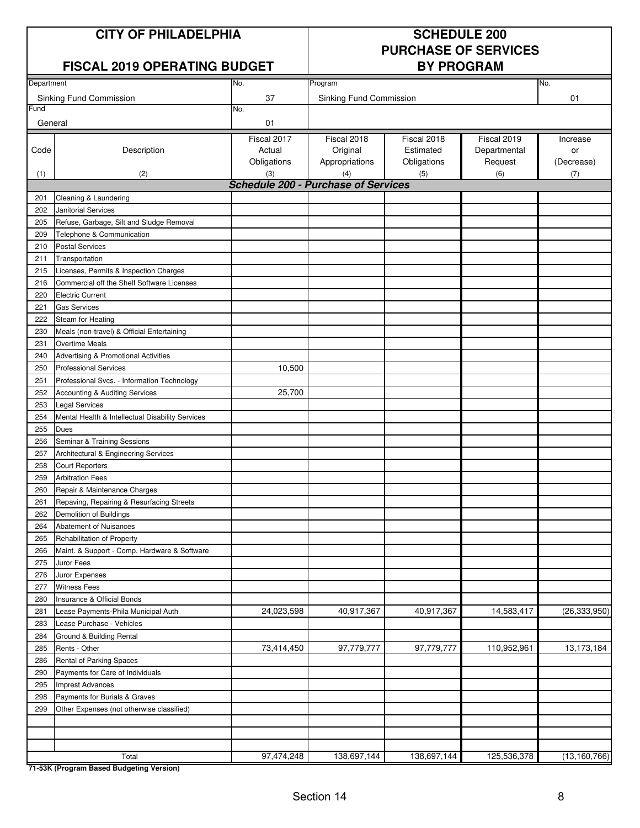#### **CITY OF PHILADELPHIA** SCHEDULE 200

#### **FISCAL 2019 OPERATING BUDGET**

# **PURCHASE OF SERVICES**

| Department |                                                                       | No.                                               | Program                 |             |              | No.            |
|------------|-----------------------------------------------------------------------|---------------------------------------------------|-------------------------|-------------|--------------|----------------|
|            |                                                                       |                                                   |                         |             |              |                |
| Fund       | Sinking Fund Commission                                               | 37<br>No.                                         | Sinking Fund Commission |             |              | 01             |
| General    |                                                                       | 01                                                |                         |             |              |                |
|            |                                                                       |                                                   |                         |             |              |                |
|            |                                                                       | Fiscal 2017                                       | Fiscal 2018             | Fiscal 2018 | Fiscal 2019  | Increase       |
| Code       | Description                                                           | Actual                                            | Original                | Estimated   | Departmental | or             |
|            |                                                                       | Obligations                                       | Appropriations          | Obligations | Request      | (Decrease)     |
| (1)        | (2)                                                                   | (3)<br><b>Schedule 200 - Purchase of Services</b> | (4)                     | (5)         | (6)          | (7)            |
|            |                                                                       |                                                   |                         |             |              |                |
| 201<br>202 | Cleaning & Laundering<br><b>Janitorial Services</b>                   |                                                   |                         |             |              |                |
|            | Refuse, Garbage, Silt and Sludge Removal                              |                                                   |                         |             |              |                |
| 205        |                                                                       |                                                   |                         |             |              |                |
| 209        | Telephone & Communication                                             |                                                   |                         |             |              |                |
| 210        | <b>Postal Services</b>                                                |                                                   |                         |             |              |                |
| 211        | Transportation                                                        |                                                   |                         |             |              |                |
| 215        | Licenses, Permits & Inspection Charges                                |                                                   |                         |             |              |                |
| 216        | Commercial off the Shelf Software Licenses<br><b>Electric Current</b> |                                                   |                         |             |              |                |
| 220        |                                                                       |                                                   |                         |             |              |                |
| 221        | <b>Gas Services</b>                                                   |                                                   |                         |             |              |                |
| 222        | Steam for Heating                                                     |                                                   |                         |             |              |                |
| 230        | Meals (non-travel) & Official Entertaining                            |                                                   |                         |             |              |                |
| 231        | <b>Overtime Meals</b>                                                 |                                                   |                         |             |              |                |
| 240        | Advertising & Promotional Activities                                  |                                                   |                         |             |              |                |
| 250        | <b>Professional Services</b>                                          | 10,500                                            |                         |             |              |                |
| 251        | Professional Svcs. - Information Technology                           |                                                   |                         |             |              |                |
| 252        | Accounting & Auditing Services                                        | 25,700                                            |                         |             |              |                |
| 253        | <b>Legal Services</b>                                                 |                                                   |                         |             |              |                |
| 254        | Mental Health & Intellectual Disability Services                      |                                                   |                         |             |              |                |
| 255        | Dues                                                                  |                                                   |                         |             |              |                |
| 256        | Seminar & Training Sessions                                           |                                                   |                         |             |              |                |
| 257        | Architectural & Engineering Services                                  |                                                   |                         |             |              |                |
| 258        | <b>Court Reporters</b>                                                |                                                   |                         |             |              |                |
| 259        | <b>Arbitration Fees</b>                                               |                                                   |                         |             |              |                |
| 260        | Repair & Maintenance Charges                                          |                                                   |                         |             |              |                |
| 261        | Repaving, Repairing & Resurfacing Streets                             |                                                   |                         |             |              |                |
| 262        | Demolition of Buildings                                               |                                                   |                         |             |              |                |
| 264        | Abatement of Nuisances                                                |                                                   |                         |             |              |                |
| 265        | Rehabilitation of Property                                            |                                                   |                         |             |              |                |
| 266        | Maint. & Support - Comp. Hardware & Software                          |                                                   |                         |             |              |                |
| 275        | Juror Fees                                                            |                                                   |                         |             |              |                |
| 276        | Juror Expenses                                                        |                                                   |                         |             |              |                |
| 277        | <b>Witness Fees</b>                                                   |                                                   |                         |             |              |                |
| 280        | <b>Insurance &amp; Official Bonds</b>                                 |                                                   |                         |             |              |                |
| 281        | Lease Payments-Phila Municipal Auth                                   | 24,023,598                                        | 40,917,367              | 40,917,367  | 14,583,417   | (26, 333, 950) |
| 283        | Lease Purchase - Vehicles                                             |                                                   |                         |             |              |                |
| 284        | Ground & Building Rental                                              |                                                   |                         |             |              |                |
| 285        | Rents - Other                                                         | 73,414,450                                        | 97,779,777              | 97,779,777  | 110,952,961  | 13,173,184     |
| 286        | Rental of Parking Spaces                                              |                                                   |                         |             |              |                |
| 290        | Payments for Care of Individuals                                      |                                                   |                         |             |              |                |
| 295        | <b>Imprest Advances</b>                                               |                                                   |                         |             |              |                |
| 298        | Payments for Burials & Graves                                         |                                                   |                         |             |              |                |
| 299        | Other Expenses (not otherwise classified)                             |                                                   |                         |             |              |                |
|            |                                                                       |                                                   |                         |             |              |                |
|            |                                                                       |                                                   |                         |             |              |                |
|            |                                                                       |                                                   |                         |             |              |                |
|            | Total                                                                 | 97,474,248                                        | 138,697,144             | 138,697,144 | 125,536,378  | (13, 160, 766) |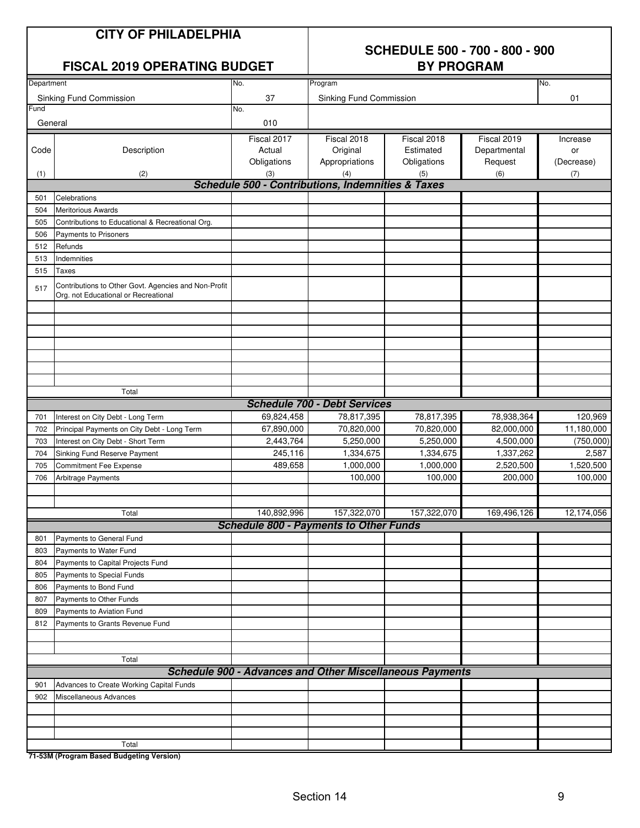#### **FISCAL 2019 OPERATING BUDGET**

### **SCHEDULE 500 - 700 - 800 - 900**

| Department |                                                                                              | No.                                               | Program                             |                                                                 |              | No.                  |
|------------|----------------------------------------------------------------------------------------------|---------------------------------------------------|-------------------------------------|-----------------------------------------------------------------|--------------|----------------------|
|            |                                                                                              |                                                   |                                     |                                                                 |              |                      |
| Fund       | Sinking Fund Commission                                                                      | 37<br>No.                                         | Sinking Fund Commission             |                                                                 |              | 01                   |
|            |                                                                                              |                                                   |                                     |                                                                 |              |                      |
| General    |                                                                                              | 010                                               |                                     |                                                                 |              |                      |
|            |                                                                                              | Fiscal 2017                                       | Fiscal 2018                         | Fiscal 2018                                                     | Fiscal 2019  | Increase             |
| Code       | Description                                                                                  | Actual                                            | Original                            | Estimated                                                       | Departmental | or                   |
|            |                                                                                              | Obligations                                       | Appropriations                      | Obligations                                                     | Request      | (Decrease)           |
| (1)        | (2)                                                                                          | (3)                                               | (4)                                 | (5)                                                             | (6)          | (7)                  |
|            |                                                                                              | Schedule 500 - Contributions, Indemnities & Taxes |                                     |                                                                 |              |                      |
| 501        | Celebrations                                                                                 |                                                   |                                     |                                                                 |              |                      |
| 504        | <b>Meritorious Awards</b>                                                                    |                                                   |                                     |                                                                 |              |                      |
| 505        | Contributions to Educational & Recreational Org.                                             |                                                   |                                     |                                                                 |              |                      |
| 506        | Payments to Prisoners                                                                        |                                                   |                                     |                                                                 |              |                      |
| 512        | Refunds                                                                                      |                                                   |                                     |                                                                 |              |                      |
| 513        | Indemnities                                                                                  |                                                   |                                     |                                                                 |              |                      |
| 515        | Taxes                                                                                        |                                                   |                                     |                                                                 |              |                      |
| 517        | Contributions to Other Govt. Agencies and Non-Profit<br>Org. not Educational or Recreational |                                                   |                                     |                                                                 |              |                      |
|            |                                                                                              |                                                   |                                     |                                                                 |              |                      |
|            |                                                                                              |                                                   |                                     |                                                                 |              |                      |
|            |                                                                                              |                                                   |                                     |                                                                 |              |                      |
|            |                                                                                              |                                                   |                                     |                                                                 |              |                      |
|            |                                                                                              |                                                   |                                     |                                                                 |              |                      |
|            |                                                                                              |                                                   |                                     |                                                                 |              |                      |
|            |                                                                                              |                                                   |                                     |                                                                 |              |                      |
|            | Total                                                                                        |                                                   |                                     |                                                                 |              |                      |
|            |                                                                                              |                                                   | <b>Schedule 700 - Debt Services</b> |                                                                 |              |                      |
| 701        | Interest on City Debt - Long Term                                                            | 69,824,458                                        | 78,817,395                          | 78,817,395                                                      | 78,938,364   | 120,969              |
| 702        | Principal Payments on City Debt - Long Term                                                  | 67,890,000                                        | 70,820,000                          | 70,820,000                                                      | 82,000,000   | 11,180,000           |
| 703        | Interest on City Debt - Short Term                                                           | 2,443,764                                         | 5,250,000                           | 5,250,000                                                       | 4,500,000    | (750,000)            |
| 704        | Sinking Fund Reserve Payment                                                                 | 245,116                                           | 1,334,675                           | 1,334,675                                                       | 1,337,262    | 2,587                |
| 705        | Commitment Fee Expense                                                                       | 489,658                                           | 1,000,000                           | 1,000,000                                                       | 2,520,500    | 1,520,500<br>100,000 |
| 706        | Arbitrage Payments                                                                           |                                                   | 100,000                             | 100,000                                                         | 200,000      |                      |
|            |                                                                                              |                                                   |                                     |                                                                 |              |                      |
|            | Total                                                                                        | 140,892,996                                       | 157,322,070                         | 157,322,070                                                     | 169,496,126  | 12,174,056           |
|            |                                                                                              | <b>Schedule 800 - Payments to Other Funds</b>     |                                     |                                                                 |              |                      |
| 801        | Payments to General Fund                                                                     |                                                   |                                     |                                                                 |              |                      |
| 803        | Payments to Water Fund                                                                       |                                                   |                                     |                                                                 |              |                      |
| 804        | Payments to Capital Projects Fund                                                            |                                                   |                                     |                                                                 |              |                      |
| 805        | Payments to Special Funds                                                                    |                                                   |                                     |                                                                 |              |                      |
| 806        | Payments to Bond Fund                                                                        |                                                   |                                     |                                                                 |              |                      |
| 807        | Payments to Other Funds                                                                      |                                                   |                                     |                                                                 |              |                      |
| 809        | Payments to Aviation Fund                                                                    |                                                   |                                     |                                                                 |              |                      |
| 812        | Payments to Grants Revenue Fund                                                              |                                                   |                                     |                                                                 |              |                      |
|            |                                                                                              |                                                   |                                     |                                                                 |              |                      |
|            |                                                                                              |                                                   |                                     |                                                                 |              |                      |
|            | Total                                                                                        |                                                   |                                     |                                                                 |              |                      |
|            |                                                                                              |                                                   |                                     | <b>Schedule 900 - Advances and Other Miscellaneous Payments</b> |              |                      |
| 901        | Advances to Create Working Capital Funds                                                     |                                                   |                                     |                                                                 |              |                      |
| 902        | Miscellaneous Advances                                                                       |                                                   |                                     |                                                                 |              |                      |
|            |                                                                                              |                                                   |                                     |                                                                 |              |                      |
|            |                                                                                              |                                                   |                                     |                                                                 |              |                      |
|            |                                                                                              |                                                   |                                     |                                                                 |              |                      |
|            | Total                                                                                        |                                                   |                                     |                                                                 |              |                      |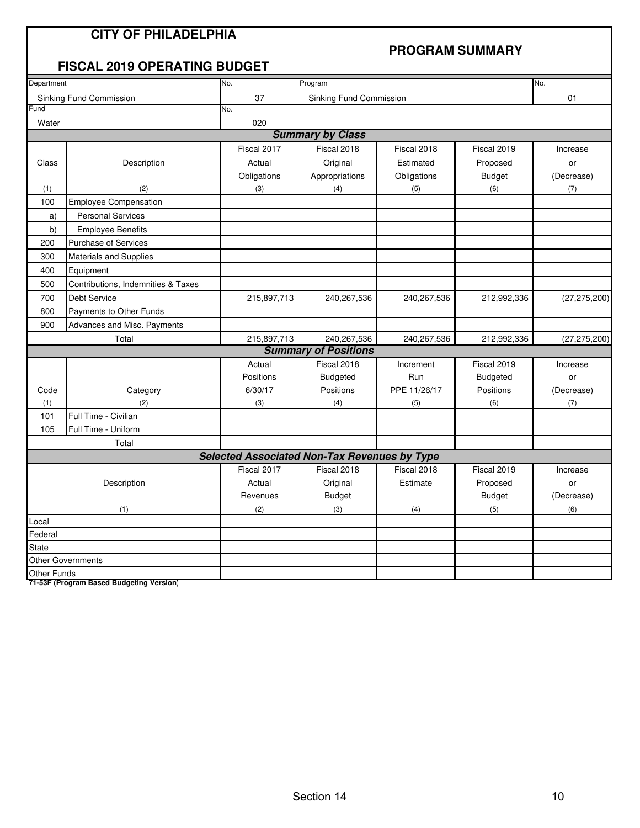|             | <b>CITY OF PHILADELPHIA</b><br><b>FISCAL 2019 OPERATING BUDGET</b> |                                                     | <b>PROGRAM SUMMARY</b>      |              |                 |                |  |
|-------------|--------------------------------------------------------------------|-----------------------------------------------------|-----------------------------|--------------|-----------------|----------------|--|
| Department  |                                                                    | No.                                                 | Program                     |              |                 | No.            |  |
|             | Sinking Fund Commission                                            | 37                                                  | Sinking Fund Commission     |              |                 | 01             |  |
| Fund        |                                                                    | No.                                                 |                             |              |                 |                |  |
| Water       |                                                                    | 020                                                 |                             |              |                 |                |  |
|             |                                                                    |                                                     | <b>Summary by Class</b>     |              |                 |                |  |
|             |                                                                    | Fiscal 2017                                         | Fiscal 2018                 | Fiscal 2018  | Fiscal 2019     | Increase       |  |
| Class       | Description                                                        | Actual                                              | Original                    | Estimated    | Proposed        | or             |  |
|             |                                                                    | Obligations                                         | Appropriations              | Obligations  | <b>Budget</b>   | (Decrease)     |  |
| (1)         | (2)                                                                | (3)                                                 | (4)                         | (5)          | (6)             | (7)            |  |
| 100         | <b>Employee Compensation</b>                                       |                                                     |                             |              |                 |                |  |
| a)          | <b>Personal Services</b>                                           |                                                     |                             |              |                 |                |  |
| b)          | <b>Employee Benefits</b>                                           |                                                     |                             |              |                 |                |  |
| 200         | <b>Purchase of Services</b>                                        |                                                     |                             |              |                 |                |  |
| 300         | <b>Materials and Supplies</b>                                      |                                                     |                             |              |                 |                |  |
| 400         | Equipment                                                          |                                                     |                             |              |                 |                |  |
| 500         | Contributions, Indemnities & Taxes                                 |                                                     |                             |              |                 |                |  |
| 700         | <b>Debt Service</b>                                                | 215,897,713                                         | 240,267,536                 | 240,267,536  | 212,992,336     | (27, 275, 200) |  |
| 800         | Payments to Other Funds                                            |                                                     |                             |              |                 |                |  |
| 900         | Advances and Misc. Payments                                        |                                                     |                             |              |                 |                |  |
|             | Total                                                              | 215,897,713                                         | 240,267,536                 | 240,267,536  | 212,992,336     | (27, 275, 200) |  |
|             |                                                                    |                                                     | <b>Summary of Positions</b> |              |                 |                |  |
|             |                                                                    | Actual                                              | Fiscal 2018                 | Increment    | Fiscal 2019     | Increase       |  |
|             |                                                                    | Positions                                           | <b>Budgeted</b>             | Run          | <b>Budgeted</b> | or             |  |
| Code        | Category                                                           | 6/30/17                                             | Positions                   | PPE 11/26/17 | Positions       | (Decrease)     |  |
| (1)         | (2)                                                                | (3)                                                 | (4)                         | (5)          | (6)             | (7)            |  |
| 101         | Full Time - Civilian                                               |                                                     |                             |              |                 |                |  |
| 105         | Full Time - Uniform                                                |                                                     |                             |              |                 |                |  |
|             | Total                                                              |                                                     |                             |              |                 |                |  |
|             |                                                                    | <b>Selected Associated Non-Tax Revenues by Type</b> |                             |              |                 |                |  |
|             |                                                                    | Fiscal 2017                                         | Fiscal 2018                 | Fiscal 2018  | Fiscal 2019     | Increase       |  |
|             | Description                                                        | Actual                                              | Original                    | Estimate     | Proposed        | or             |  |
|             |                                                                    | Revenues                                            | <b>Budget</b>               |              | <b>Budget</b>   | (Decrease)     |  |
|             | (1)                                                                | (2)                                                 | (3)                         | (4)          | (5)             | (6)            |  |
| Local       |                                                                    |                                                     |                             |              |                 |                |  |
| Federal     |                                                                    |                                                     |                             |              |                 |                |  |
| State       |                                                                    |                                                     |                             |              |                 |                |  |
|             | <b>Other Governments</b>                                           |                                                     |                             |              |                 |                |  |
| Other Funds |                                                                    |                                                     |                             |              |                 |                |  |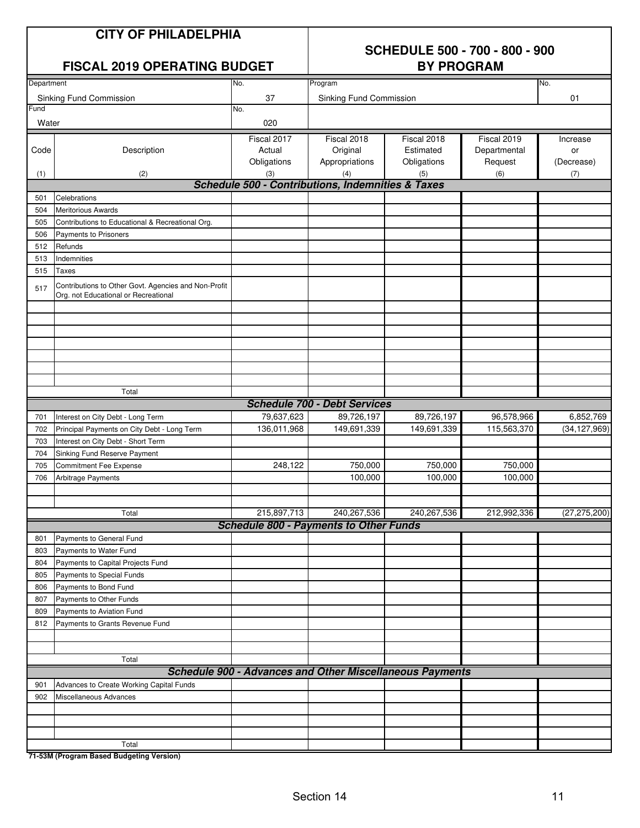### **SCHEDULE 500 - 700 - 800 - 900**

|            | <b>FISCAL 2019 OPERATING BUDGET</b>              |                                                              | <b>BY PROGRAM</b>              |             |              |        |  |
|------------|--------------------------------------------------|--------------------------------------------------------------|--------------------------------|-------------|--------------|--------|--|
| Department |                                                  | No.                                                          | Program                        |             |              | No.    |  |
|            | Sinking Fund Commission                          | 37                                                           | <b>Sinking Fund Commission</b> |             |              | 01     |  |
| Fund       |                                                  | No.                                                          |                                |             |              |        |  |
| Water      |                                                  | 020                                                          |                                |             |              |        |  |
|            |                                                  | Fiscal 2017                                                  | Fiscal 2018                    | Fiscal 2018 | Fiscal 2019  | Increa |  |
| Code       | Description                                      | Actual                                                       | Original                       | Estimated   | Departmental | or     |  |
|            |                                                  | Obligations                                                  | Appropriations                 | Obligations | Request      | (Decre |  |
| (1)        | (2)                                              | (3)                                                          | (4)                            | (5)         | (6)          | (7)    |  |
|            |                                                  | <b>Schedule 500 - Contributions, Indemnities &amp; Taxes</b> |                                |             |              |        |  |
| 501        | Celebrations                                     |                                                              |                                |             |              |        |  |
| 504        | <b>Meritorious Awards</b>                        |                                                              |                                |             |              |        |  |
| 505        | Contributions to Educational & Recreational Org. |                                                              |                                |             |              |        |  |
| 506        | <b>Payments to Prisoners</b>                     |                                                              |                                |             |              |        |  |

| <b>Funu</b> |                                                                                              | INO.        |                                                                 |             |              |                |  |  |
|-------------|----------------------------------------------------------------------------------------------|-------------|-----------------------------------------------------------------|-------------|--------------|----------------|--|--|
| Water       |                                                                                              | 020         |                                                                 |             |              |                |  |  |
|             |                                                                                              | Fiscal 2017 | Fiscal 2018                                                     | Fiscal 2018 | Fiscal 2019  | Increase       |  |  |
| Code        | Description                                                                                  | Actual      | Original                                                        | Estimated   | Departmental | or             |  |  |
|             |                                                                                              | Obligations | Appropriations                                                  | Obligations | Request      | (Decrease)     |  |  |
| (1)         | (2)                                                                                          | (3)         | (4)                                                             | (5)         | (6)          | (7)            |  |  |
|             |                                                                                              |             | <b>Schedule 500 - Contributions, Indemnities &amp; Taxes</b>    |             |              |                |  |  |
| 501         | Celebrations                                                                                 |             |                                                                 |             |              |                |  |  |
| 504         | <b>Meritorious Awards</b>                                                                    |             |                                                                 |             |              |                |  |  |
| 505         | Contributions to Educational & Recreational Org.                                             |             |                                                                 |             |              |                |  |  |
| 506         | Payments to Prisoners                                                                        |             |                                                                 |             |              |                |  |  |
| 512         | Refunds                                                                                      |             |                                                                 |             |              |                |  |  |
| 513         | Indemnities                                                                                  |             |                                                                 |             |              |                |  |  |
| 515         | Taxes                                                                                        |             |                                                                 |             |              |                |  |  |
| 517         | Contributions to Other Govt. Agencies and Non-Profit<br>Org. not Educational or Recreational |             |                                                                 |             |              |                |  |  |
|             |                                                                                              |             |                                                                 |             |              |                |  |  |
|             |                                                                                              |             |                                                                 |             |              |                |  |  |
|             |                                                                                              |             |                                                                 |             |              |                |  |  |
|             |                                                                                              |             |                                                                 |             |              |                |  |  |
|             | Total                                                                                        |             |                                                                 |             |              |                |  |  |
|             | <b>Schedule 700 - Debt Services</b>                                                          |             |                                                                 |             |              |                |  |  |
| 701         | Interest on City Debt - Long Term                                                            | 79,637,623  | 89,726,197                                                      | 89,726,197  | 96,578,966   | 6,852,769      |  |  |
| 702         | Principal Payments on City Debt - Long Term                                                  | 136,011,968 | 149,691,339                                                     | 149,691,339 | 115,563,370  | (34, 127, 969) |  |  |
| 703         | Interest on City Debt - Short Term                                                           |             |                                                                 |             |              |                |  |  |
| 704         | Sinking Fund Reserve Payment                                                                 |             |                                                                 |             |              |                |  |  |
| 705         | Commitment Fee Expense                                                                       | 248,122     | 750,000                                                         | 750,000     | 750,000      |                |  |  |
| 706         | Arbitrage Payments                                                                           |             | 100,000                                                         | 100,000     | 100,000      |                |  |  |
|             |                                                                                              |             |                                                                 |             |              |                |  |  |
|             |                                                                                              |             |                                                                 |             |              |                |  |  |
|             | Total                                                                                        | 215,897,713 | 240, 267, 536                                                   | 240,267,536 | 212,992,336  | (27, 275, 200) |  |  |
|             |                                                                                              |             | <b>Schedule 800 - Payments to Other Funds</b>                   |             |              |                |  |  |
| 801         | Payments to General Fund                                                                     |             |                                                                 |             |              |                |  |  |
| 803         | Payments to Water Fund                                                                       |             |                                                                 |             |              |                |  |  |
| 804         | Payments to Capital Projects Fund                                                            |             |                                                                 |             |              |                |  |  |
| 805         | Payments to Special Funds                                                                    |             |                                                                 |             |              |                |  |  |
| 806         | Payments to Bond Fund                                                                        |             |                                                                 |             |              |                |  |  |
| 807         | Payments to Other Funds                                                                      |             |                                                                 |             |              |                |  |  |
| 809         | Payments to Aviation Fund                                                                    |             |                                                                 |             |              |                |  |  |
| 812         | Payments to Grants Revenue Fund                                                              |             |                                                                 |             |              |                |  |  |
|             |                                                                                              |             |                                                                 |             |              |                |  |  |
|             |                                                                                              |             |                                                                 |             |              |                |  |  |
|             | Total                                                                                        |             |                                                                 |             |              |                |  |  |
|             |                                                                                              |             | <b>Schedule 900 - Advances and Other Miscellaneous Payments</b> |             |              |                |  |  |
| 901         | Advances to Create Working Capital Funds                                                     |             |                                                                 |             |              |                |  |  |
| 902         | Miscellaneous Advances                                                                       |             |                                                                 |             |              |                |  |  |
|             |                                                                                              |             |                                                                 |             |              |                |  |  |
|             |                                                                                              |             |                                                                 |             |              |                |  |  |
|             |                                                                                              |             |                                                                 |             |              |                |  |  |
|             | Total                                                                                        |             |                                                                 |             |              |                |  |  |
|             | 71-53M (Program Rased Budgeting Version)                                                     |             |                                                                 |             |              |                |  |  |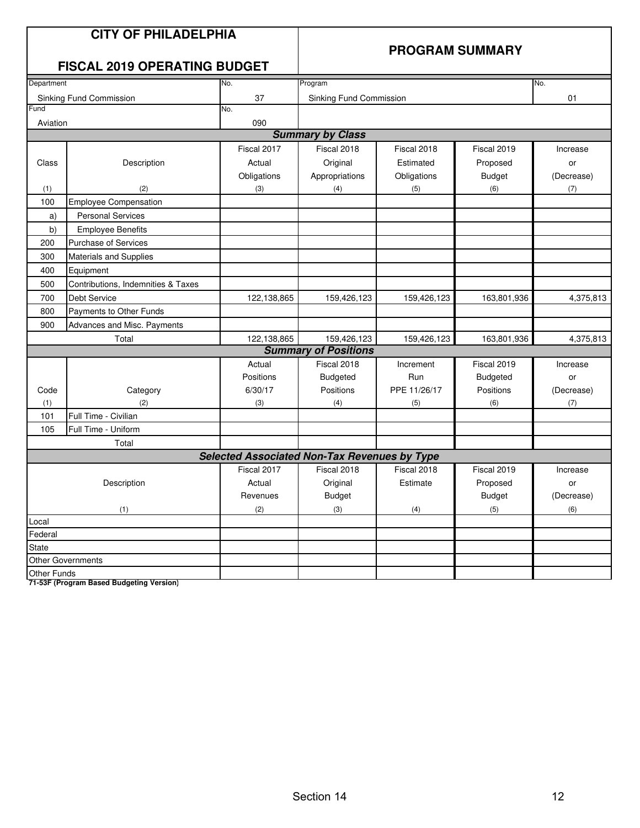|             | <b>CITY OF PHILADELPHIA</b><br><b>FISCAL 2019 OPERATING BUDGET</b> |                                                     | <b>PROGRAM SUMMARY</b>      |              |                 |            |  |
|-------------|--------------------------------------------------------------------|-----------------------------------------------------|-----------------------------|--------------|-----------------|------------|--|
| Department  |                                                                    | No.                                                 | Program                     |              |                 | No.        |  |
|             | Sinking Fund Commission                                            | 37                                                  | Sinking Fund Commission     |              |                 | 01         |  |
| Fund        |                                                                    | No.                                                 |                             |              |                 |            |  |
| Aviation    |                                                                    | 090                                                 |                             |              |                 |            |  |
|             |                                                                    |                                                     | <b>Summary by Class</b>     |              |                 |            |  |
|             |                                                                    | Fiscal 2017                                         | Fiscal 2018                 | Fiscal 2018  | Fiscal 2019     | Increase   |  |
| Class       | Description                                                        | Actual                                              | Original                    | Estimated    | Proposed        | or         |  |
|             |                                                                    | Obligations                                         | Appropriations              | Obligations  | <b>Budget</b>   | (Decrease) |  |
| (1)         | (2)                                                                | (3)                                                 | (4)                         | (5)          | (6)             | (7)        |  |
| 100         | <b>Employee Compensation</b>                                       |                                                     |                             |              |                 |            |  |
| a)          | <b>Personal Services</b>                                           |                                                     |                             |              |                 |            |  |
| b)          | <b>Employee Benefits</b>                                           |                                                     |                             |              |                 |            |  |
| 200         | <b>Purchase of Services</b>                                        |                                                     |                             |              |                 |            |  |
| 300         | <b>Materials and Supplies</b>                                      |                                                     |                             |              |                 |            |  |
| 400         | Equipment                                                          |                                                     |                             |              |                 |            |  |
| 500         | Contributions, Indemnities & Taxes                                 |                                                     |                             |              |                 |            |  |
| 700         | <b>Debt Service</b>                                                | 122,138,865                                         | 159,426,123                 | 159,426,123  | 163,801,936     | 4,375,813  |  |
| 800         | Payments to Other Funds                                            |                                                     |                             |              |                 |            |  |
| 900         | Advances and Misc. Payments                                        |                                                     |                             |              |                 |            |  |
|             | Total                                                              | 122,138,865                                         | 159,426,123                 | 159,426,123  | 163,801,936     | 4,375,813  |  |
|             |                                                                    |                                                     | <b>Summary of Positions</b> |              |                 |            |  |
|             |                                                                    | Actual                                              | Fiscal 2018                 | Increment    | Fiscal 2019     | Increase   |  |
|             |                                                                    | Positions                                           | <b>Budgeted</b>             | Run          | <b>Budgeted</b> | or         |  |
| Code        | Category                                                           | 6/30/17                                             | Positions                   | PPE 11/26/17 | Positions       | (Decrease) |  |
| (1)         | (2)                                                                | (3)                                                 | (4)                         | (5)          | (6)             | (7)        |  |
| 101         | Full Time - Civilian                                               |                                                     |                             |              |                 |            |  |
| 105         | Full Time - Uniform                                                |                                                     |                             |              |                 |            |  |
|             | Total                                                              |                                                     |                             |              |                 |            |  |
|             |                                                                    | <b>Selected Associated Non-Tax Revenues by Type</b> |                             |              |                 |            |  |
|             |                                                                    | Fiscal 2017                                         | Fiscal 2018                 | Fiscal 2018  | Fiscal 2019     | Increase   |  |
|             | Description                                                        | Actual                                              | Original                    | Estimate     | Proposed        | or         |  |
|             |                                                                    | Revenues                                            | <b>Budget</b>               |              | <b>Budget</b>   | (Decrease) |  |
|             | (1)                                                                | (2)                                                 | (3)                         | (4)          | (5)             | (6)        |  |
| Local       |                                                                    |                                                     |                             |              |                 |            |  |
| Federal     |                                                                    |                                                     |                             |              |                 |            |  |
| State       |                                                                    |                                                     |                             |              |                 |            |  |
|             | <b>Other Governments</b>                                           |                                                     |                             |              |                 |            |  |
| Other Funds |                                                                    |                                                     |                             |              |                 |            |  |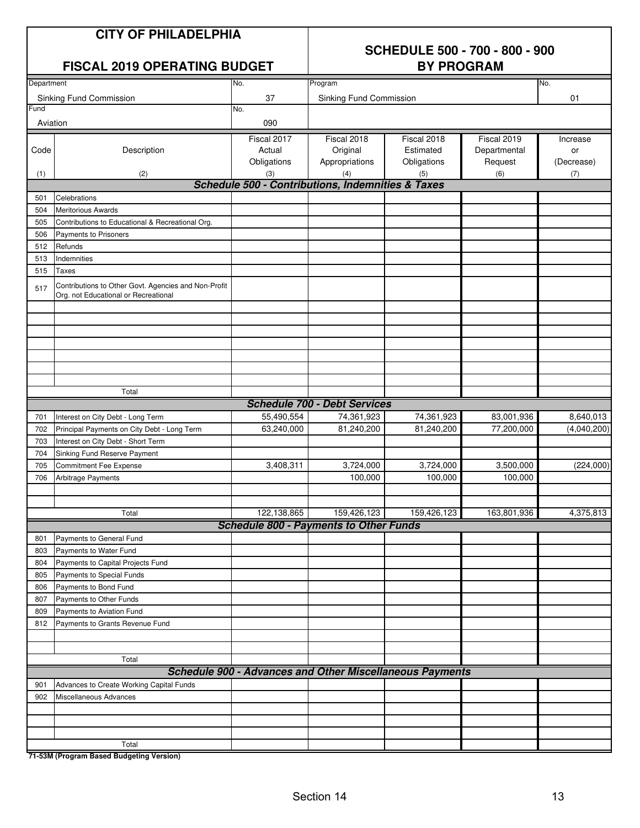### **SCHEDULE 500 - 700 - 800 - 900**

|            | <b>FISCAL 2019 OPERATING BUDGET</b>                                                          | <b>BY PROGRAM</b> |                                                                 |             |              |             |
|------------|----------------------------------------------------------------------------------------------|-------------------|-----------------------------------------------------------------|-------------|--------------|-------------|
| Department |                                                                                              | No.               | Program                                                         |             |              | No.         |
|            | Sinking Fund Commission                                                                      | 37                | Sinking Fund Commission                                         |             |              | 01          |
| Fund       |                                                                                              | No.               |                                                                 |             |              |             |
| Aviation   |                                                                                              | 090               |                                                                 |             |              |             |
|            |                                                                                              | Fiscal 2017       | Fiscal 2018                                                     | Fiscal 2018 | Fiscal 2019  | Increase    |
| Code       | Description                                                                                  | Actual            | Original                                                        | Estimated   | Departmental | or          |
|            |                                                                                              | Obligations       | Appropriations                                                  | Obligations | Request      | (Decrease)  |
| (1)        | (2)                                                                                          | (3)               | (4)                                                             | (5)         | (6)          | (7)         |
|            |                                                                                              |                   | <b>Schedule 500 - Contributions, Indemnities &amp; Taxes</b>    |             |              |             |
| 501        | Celebrations                                                                                 |                   |                                                                 |             |              |             |
| 504        | <b>Meritorious Awards</b>                                                                    |                   |                                                                 |             |              |             |
| 505        | Contributions to Educational & Recreational Org.                                             |                   |                                                                 |             |              |             |
| 506        | Payments to Prisoners                                                                        |                   |                                                                 |             |              |             |
| 512        | Refunds                                                                                      |                   |                                                                 |             |              |             |
| 513        | Indemnities                                                                                  |                   |                                                                 |             |              |             |
| 515        | Taxes                                                                                        |                   |                                                                 |             |              |             |
| 517        | Contributions to Other Govt. Agencies and Non-Profit<br>Org. not Educational or Recreational |                   |                                                                 |             |              |             |
|            |                                                                                              |                   |                                                                 |             |              |             |
|            |                                                                                              |                   |                                                                 |             |              |             |
|            |                                                                                              |                   |                                                                 |             |              |             |
|            |                                                                                              |                   |                                                                 |             |              |             |
|            |                                                                                              |                   |                                                                 |             |              |             |
|            |                                                                                              |                   |                                                                 |             |              |             |
|            | Total                                                                                        |                   |                                                                 |             |              |             |
|            |                                                                                              |                   | <b>Schedule 700 - Debt Services</b>                             |             |              |             |
| 701        | Interest on City Debt - Long Term                                                            | 55,490,554        | 74,361,923                                                      | 74,361,923  | 83,001,936   | 8,640,013   |
| 702        | Principal Payments on City Debt - Long Term                                                  | 63,240,000        | 81,240,200                                                      | 81,240,200  | 77,200,000   | (4,040,200) |
| 703        | Interest on City Debt - Short Term                                                           |                   |                                                                 |             |              |             |
| 704        | Sinking Fund Reserve Payment                                                                 |                   |                                                                 |             |              |             |
| 705        | <b>Commitment Fee Expense</b>                                                                | 3,408,311         | 3,724,000                                                       | 3,724,000   | 3,500,000    | (224,000)   |
| 706        | Arbitrage Payments                                                                           |                   | 100,000                                                         | 100,000     | 100,000      |             |
|            |                                                                                              |                   |                                                                 |             |              |             |
|            |                                                                                              |                   |                                                                 |             |              |             |
|            | Total                                                                                        | 122,138,865       | 159,426,123                                                     | 159,426,123 | 163,801,936  | 4,375,813   |
|            |                                                                                              |                   | <b>Schedule 800 - Payments to Other Funds</b>                   |             |              |             |
| 801        | Payments to General Fund                                                                     |                   |                                                                 |             |              |             |
| 803        | Payments to Water Fund                                                                       |                   |                                                                 |             |              |             |
| 804        | Payments to Capital Projects Fund                                                            |                   |                                                                 |             |              |             |
| 805        | Payments to Special Funds                                                                    |                   |                                                                 |             |              |             |
| 806        | Payments to Bond Fund                                                                        |                   |                                                                 |             |              |             |
| 807        | Payments to Other Funds                                                                      |                   |                                                                 |             |              |             |
| 809        | Payments to Aviation Fund                                                                    |                   |                                                                 |             |              |             |
| 812        | Payments to Grants Revenue Fund                                                              |                   |                                                                 |             |              |             |
|            |                                                                                              |                   |                                                                 |             |              |             |
|            | Total                                                                                        |                   |                                                                 |             |              |             |
|            |                                                                                              |                   | <b>Schedule 900 - Advances and Other Miscellaneous Payments</b> |             |              |             |
|            |                                                                                              |                   |                                                                 |             |              |             |
| 901<br>902 | Advances to Create Working Capital Funds<br>Miscellaneous Advances                           |                   |                                                                 |             |              |             |
|            |                                                                                              |                   |                                                                 |             |              |             |
|            |                                                                                              |                   |                                                                 |             |              |             |
|            |                                                                                              |                   |                                                                 |             |              |             |
|            | Total                                                                                        |                   |                                                                 |             |              |             |
|            |                                                                                              |                   |                                                                 |             |              |             |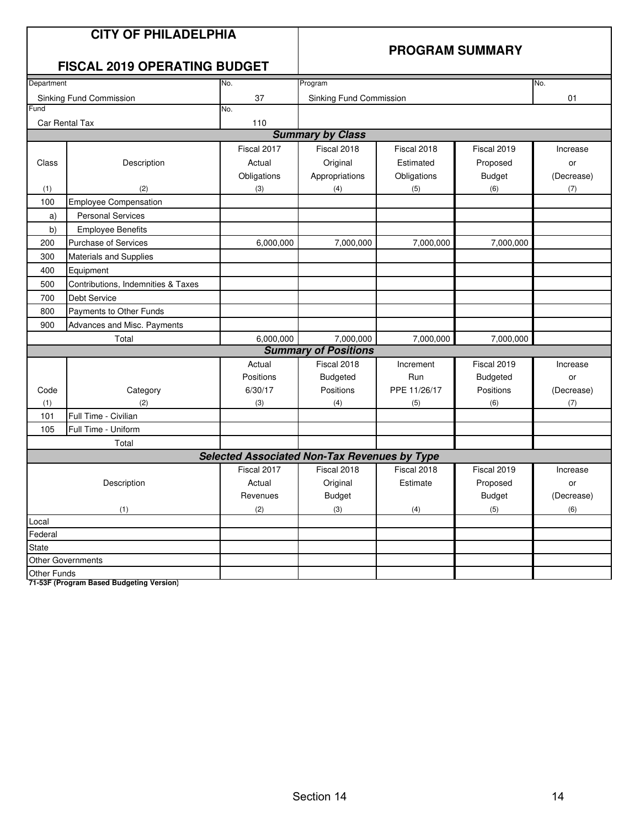| <b>CITY OF PHILADELPHIA</b><br><b>FISCAL 2019 OPERATING BUDGET</b> |                                    |             | <b>PROGRAM SUMMARY</b>  |              |                 |            |  |  |  |  |
|--------------------------------------------------------------------|------------------------------------|-------------|-------------------------|--------------|-----------------|------------|--|--|--|--|
| Department                                                         |                                    | No.         | Program                 |              |                 | No.        |  |  |  |  |
| Sinking Fund Commission                                            |                                    | 37          | Sinking Fund Commission |              |                 | 01         |  |  |  |  |
| Fund                                                               |                                    | No.         |                         |              |                 |            |  |  |  |  |
| 110<br>Car Rental Tax                                              |                                    |             |                         |              |                 |            |  |  |  |  |
| <b>Summary by Class</b>                                            |                                    |             |                         |              |                 |            |  |  |  |  |
|                                                                    |                                    | Fiscal 2017 | Fiscal 2018             | Fiscal 2018  | Fiscal 2019     | Increase   |  |  |  |  |
| Class                                                              | Description                        | Actual      | Original                | Estimated    | Proposed        | or         |  |  |  |  |
|                                                                    |                                    | Obligations | Appropriations          | Obligations  | <b>Budget</b>   | (Decrease) |  |  |  |  |
| (1)                                                                | (2)                                | (3)         | (4)                     | (5)          | (6)             | (7)        |  |  |  |  |
| 100                                                                | <b>Employee Compensation</b>       |             |                         |              |                 |            |  |  |  |  |
| a)                                                                 | <b>Personal Services</b>           |             |                         |              |                 |            |  |  |  |  |
| b)                                                                 | <b>Employee Benefits</b>           |             |                         |              |                 |            |  |  |  |  |
| 200                                                                | <b>Purchase of Services</b>        | 6,000,000   | 7,000,000               | 7,000,000    | 7,000,000       |            |  |  |  |  |
| 300                                                                | Materials and Supplies             |             |                         |              |                 |            |  |  |  |  |
| 400                                                                | Equipment                          |             |                         |              |                 |            |  |  |  |  |
| 500                                                                | Contributions, Indemnities & Taxes |             |                         |              |                 |            |  |  |  |  |
| 700                                                                | <b>Debt Service</b>                |             |                         |              |                 |            |  |  |  |  |
| 800                                                                | Payments to Other Funds            |             |                         |              |                 |            |  |  |  |  |
| 900                                                                | Advances and Misc. Payments        |             |                         |              |                 |            |  |  |  |  |
| Total                                                              |                                    | 6,000,000   | 7,000,000               | 7,000,000    | 7,000,000       |            |  |  |  |  |
| <b>Summary of Positions</b>                                        |                                    |             |                         |              |                 |            |  |  |  |  |
|                                                                    |                                    | Actual      | Fiscal 2018             | Increment    | Fiscal 2019     | Increase   |  |  |  |  |
|                                                                    |                                    | Positions   | <b>Budgeted</b>         | Run          | <b>Budgeted</b> | or         |  |  |  |  |
| Code                                                               | Category                           | 6/30/17     | Positions               | PPE 11/26/17 | Positions       | (Decrease) |  |  |  |  |
| (1)                                                                | (2)                                | (3)         | (4)                     | (5)          | (6)             | (7)        |  |  |  |  |
| 101                                                                | Full Time - Civilian               |             |                         |              |                 |            |  |  |  |  |
| 105                                                                | Full Time - Uniform                |             |                         |              |                 |            |  |  |  |  |
|                                                                    | Total                              |             |                         |              |                 |            |  |  |  |  |
| <b>Selected Associated Non-Tax Revenues by Type</b>                |                                    |             |                         |              |                 |            |  |  |  |  |
|                                                                    |                                    | Fiscal 2017 | Fiscal 2018             | Fiscal 2018  | Fiscal 2019     | Increase   |  |  |  |  |
| Description                                                        |                                    | Actual      | Original                | Estimate     | Proposed        | or         |  |  |  |  |
|                                                                    |                                    | Revenues    | <b>Budget</b>           |              | <b>Budget</b>   | (Decrease) |  |  |  |  |
|                                                                    | (1)                                | (2)         | (3)                     | (4)          | (5)             | (6)        |  |  |  |  |
| Local                                                              |                                    |             |                         |              |                 |            |  |  |  |  |
| Federal                                                            |                                    |             |                         |              |                 |            |  |  |  |  |
| <b>State</b>                                                       |                                    |             |                         |              |                 |            |  |  |  |  |
| <b>Other Governments</b>                                           |                                    |             |                         |              |                 |            |  |  |  |  |
| Other Funds                                                        |                                    |             |                         |              |                 |            |  |  |  |  |